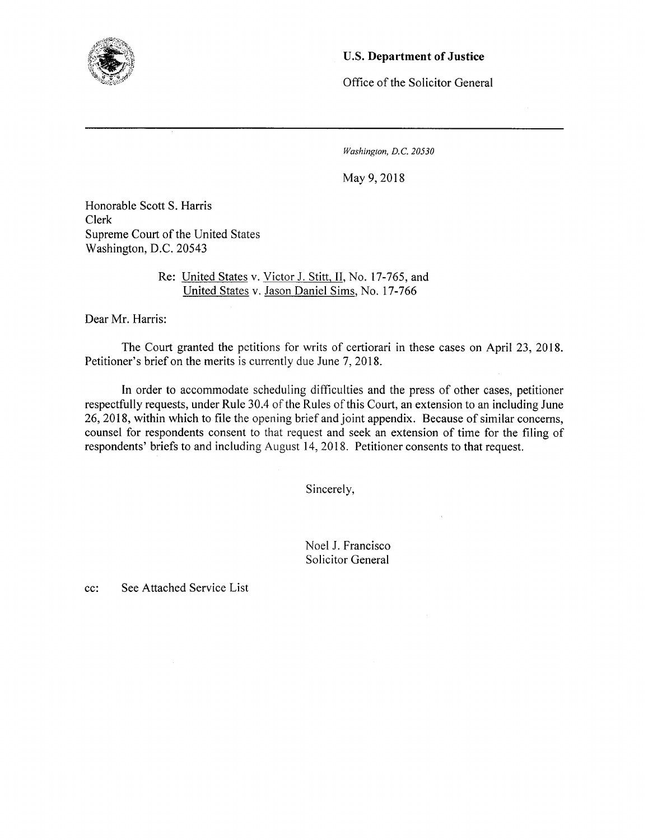

## U.S. **Department of Justice**

Office of the Solicitor Genera!

*Washington, D.C. 20530* 

May 9,2018

Honorable Scott S. Harris Clerk Supreme Court of the United States Washington, D.C. *20543* 

> Re: United States v. Victor J. Stitt, II, No. 17-765, and United States v. Jason Daniel Sims, No. 17-766

Dear Mr. Harris:

The Court granted the petitions for writs of certiorari in these cases on April 23, 2018. Petitioner's brief on the merits is currently due June 7, 2018.

In order to accommodate scheduling difficulties and the press of other cases, petitioner respectfully requests, under Rule 30.4 of the Rules of this Court, an extension to an including June 26, 2018, within which to file the opening brief and joint appendix. Because of similar concerns, counsel for respondents consent to that request and seek an extension of time for the filing of respondents' briefs to and including August 14, 2018. Petitioner consents to that request.

Sincerely,

Noel J. Francisco Solicitor General

cc: See Attached Service List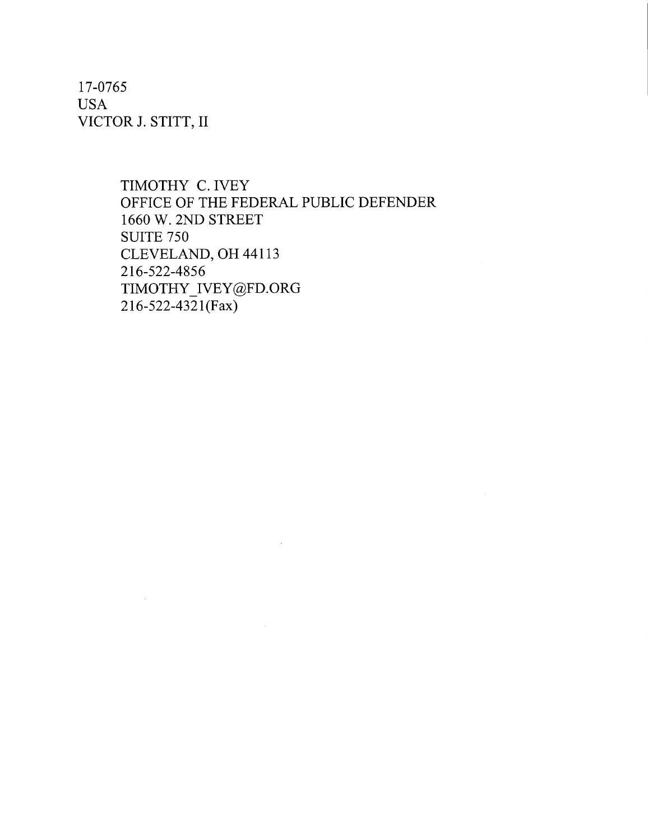17-0765 USA VICTOR J. STITT, II

> TIMOTHY C. IVEY OFFICE OF THE FEDERAL PUBLIC DEFENDER 1660 W. 2ND STREET SUITE 750 CLEVELAND, OH 44113 216-522-4856 TIMOTHY\_IVEY@FD.ORG  $216 - 522 - 4321$ (Fax)